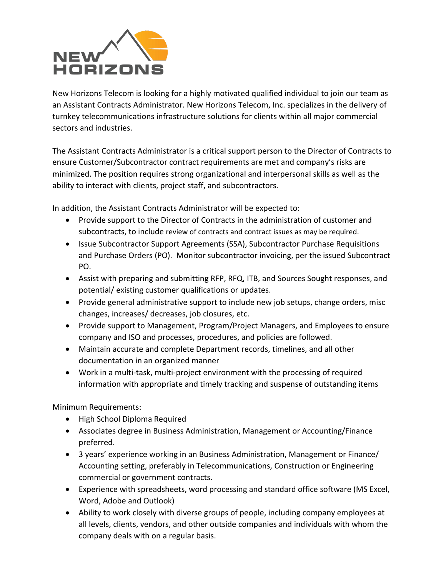

New Horizons Telecom is looking for a highly motivated qualified individual to join our team as an Assistant Contracts Administrator. New Horizons Telecom, Inc. specializes in the delivery of turnkey telecommunications infrastructure solutions for clients within all major commercial sectors and industries.

The Assistant Contracts Administrator is a critical support person to the Director of Contracts to ensure Customer/Subcontractor contract requirements are met and company's risks are minimized. The position requires strong organizational and interpersonal skills as well as the ability to interact with clients, project staff, and subcontractors.

In addition, the Assistant Contracts Administrator will be expected to:

- Provide support to the Director of Contracts in the administration of customer and subcontracts, to include review of contracts and contract issues as may be required.
- Issue Subcontractor Support Agreements (SSA), Subcontractor Purchase Requisitions and Purchase Orders (PO). Monitor subcontractor invoicing, per the issued Subcontract PO.
- Assist with preparing and submitting RFP, RFQ, ITB, and Sources Sought responses, and potential/ existing customer qualifications or updates.
- Provide general administrative support to include new job setups, change orders, misc changes, increases/ decreases, job closures, etc.
- Provide support to Management, Program/Project Managers, and Employees to ensure company and ISO and processes, procedures, and policies are followed.
- Maintain accurate and complete Department records, timelines, and all other documentation in an organized manner
- Work in a multi-task, multi-project environment with the processing of required information with appropriate and timely tracking and suspense of outstanding items

Minimum Requirements:

- High School Diploma Required
- Associates degree in Business Administration, Management or Accounting/Finance preferred.
- 3 years' experience working in an Business Administration, Management or Finance/ Accounting setting, preferably in Telecommunications, Construction or Engineering commercial or government contracts.
- Experience with spreadsheets, word processing and standard office software (MS Excel, Word, Adobe and Outlook)
- Ability to work closely with diverse groups of people, including company employees at all levels, clients, vendors, and other outside companies and individuals with whom the company deals with on a regular basis.